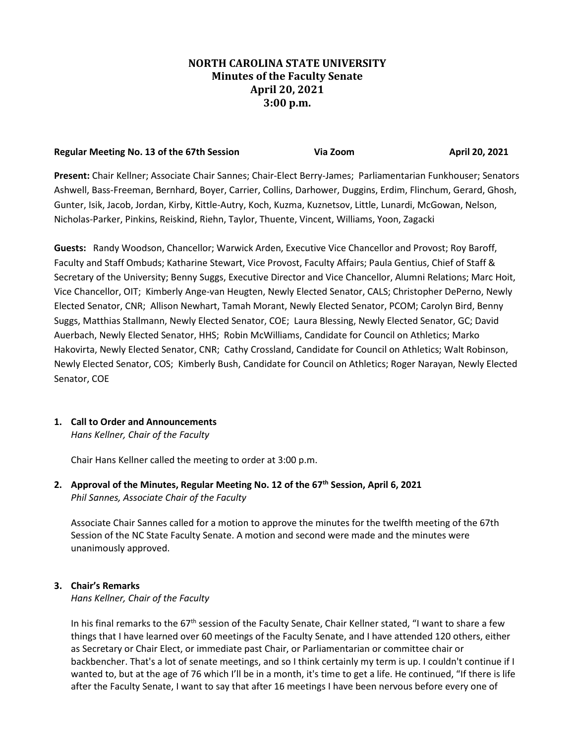## **NORTH CAROLINA STATE UNIVERSITY Minutes of the Faculty Senate April 20, 2021 3:00 p.m.**

# **Regular Meeting No. 13 of the 67th Session Come Come Communist Communist Communist Communist Communist Communist Communist Communist Communist Communist Communist Communist Communist Communist Communist Communist Communis**

**Present:** Chair Kellner; Associate Chair Sannes; Chair-Elect Berry-James; Parliamentarian Funkhouser; Senators Ashwell, Bass-Freeman, Bernhard, Boyer, Carrier, Collins, Darhower, Duggins, Erdim, Flinchum, Gerard, Ghosh, Gunter, Isik, Jacob, Jordan, Kirby, Kittle-Autry, Koch, Kuzma, Kuznetsov, Little, Lunardi, McGowan, Nelson, Nicholas-Parker, Pinkins, Reiskind, Riehn, Taylor, Thuente, Vincent, Williams, Yoon, Zagacki

**Guests:** Randy Woodson, Chancellor; Warwick Arden, Executive Vice Chancellor and Provost; Roy Baroff, Faculty and Staff Ombuds; Katharine Stewart, Vice Provost, Faculty Affairs; Paula Gentius, Chief of Staff & Secretary of the University; Benny Suggs, Executive Director and Vice Chancellor, Alumni Relations; Marc Hoit, Vice Chancellor, OIT; Kimberly Ange-van Heugten, Newly Elected Senator, CALS; Christopher DePerno, Newly Elected Senator, CNR; Allison Newhart, Tamah Morant, Newly Elected Senator, PCOM; Carolyn Bird, Benny Suggs, Matthias Stallmann, Newly Elected Senator, COE; Laura Blessing, Newly Elected Senator, GC; David Auerbach, Newly Elected Senator, HHS; Robin McWilliams, Candidate for Council on Athletics; Marko Hakovirta, Newly Elected Senator, CNR; Cathy Crossland, Candidate for Council on Athletics; Walt Robinson, Newly Elected Senator, COS; Kimberly Bush, Candidate for Council on Athletics; Roger Narayan, Newly Elected Senator, COE

# **1. Call to Order and Announcements**

*Hans Kellner, Chair of the Faculty*

Chair Hans Kellner called the meeting to order at 3:00 p.m.

**2. Approval of the Minutes, Regular Meeting No. 12 of the 67th Session, April 6, 2021** *Phil Sannes, Associate Chair of the Faculty*

Associate Chair Sannes called for a motion to approve the minutes for the twelfth meeting of the 67th Session of the NC State Faculty Senate. A motion and second were made and the minutes were unanimously approved.

## **3. Chair's Remarks**

*Hans Kellner, Chair of the Faculty*

In his final remarks to the  $67<sup>th</sup>$  session of the Faculty Senate, Chair Kellner stated, "I want to share a few things that I have learned over 60 meetings of the Faculty Senate, and I have attended 120 others, either as Secretary or Chair Elect, or immediate past Chair, or Parliamentarian or committee chair or backbencher. That's a lot of senate meetings, and so I think certainly my term is up. I couldn't continue if I wanted to, but at the age of 76 which I'll be in a month, it's time to get a life. He continued, "If there is life after the Faculty Senate, I want to say that after 16 meetings I have been nervous before every one of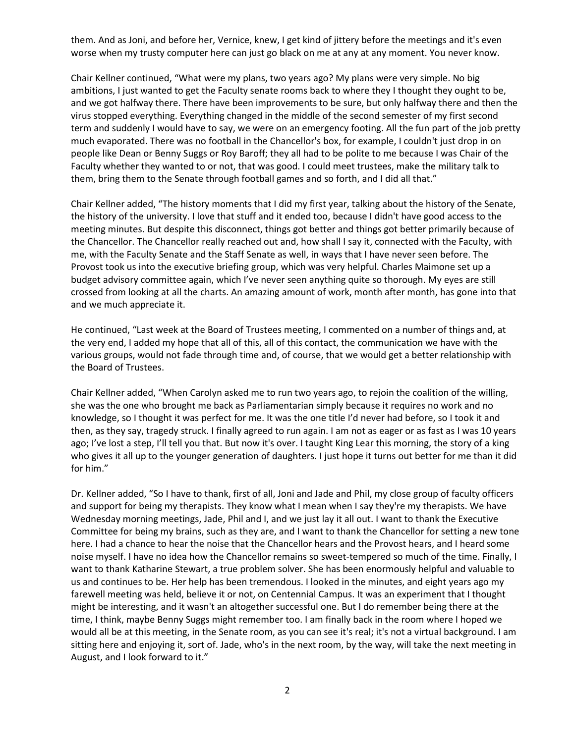them. And as Joni, and before her, Vernice, knew, I get kind of jittery before the meetings and it's even worse when my trusty computer here can just go black on me at any at any moment. You never know.

Chair Kellner continued, "What were my plans, two years ago? My plans were very simple. No big ambitions, I just wanted to get the Faculty senate rooms back to where they I thought they ought to be, and we got halfway there. There have been improvements to be sure, but only halfway there and then the virus stopped everything. Everything changed in the middle of the second semester of my first second term and suddenly I would have to say, we were on an emergency footing. All the fun part of the job pretty much evaporated. There was no football in the Chancellor's box, for example, I couldn't just drop in on people like Dean or Benny Suggs or Roy Baroff; they all had to be polite to me because I was Chair of the Faculty whether they wanted to or not, that was good. I could meet trustees, make the military talk to them, bring them to the Senate through football games and so forth, and I did all that."

Chair Kellner added, "The history moments that I did my first year, talking about the history of the Senate, the history of the university. I love that stuff and it ended too, because I didn't have good access to the meeting minutes. But despite this disconnect, things got better and things got better primarily because of the Chancellor. The Chancellor really reached out and, how shall I say it, connected with the Faculty, with me, with the Faculty Senate and the Staff Senate as well, in ways that I have never seen before. The Provost took us into the executive briefing group, which was very helpful. Charles Maimone set up a budget advisory committee again, which I've never seen anything quite so thorough. My eyes are still crossed from looking at all the charts. An amazing amount of work, month after month, has gone into that and we much appreciate it.

He continued, "Last week at the Board of Trustees meeting, I commented on a number of things and, at the very end, I added my hope that all of this, all of this contact, the communication we have with the various groups, would not fade through time and, of course, that we would get a better relationship with the Board of Trustees.

Chair Kellner added, "When Carolyn asked me to run two years ago, to rejoin the coalition of the willing, she was the one who brought me back as Parliamentarian simply because it requires no work and no knowledge, so I thought it was perfect for me. It was the one title I'd never had before, so I took it and then, as they say, tragedy struck. I finally agreed to run again. I am not as eager or as fast as I was 10 years ago; I've lost a step, I'll tell you that. But now it's over. I taught King Lear this morning, the story of a king who gives it all up to the younger generation of daughters. I just hope it turns out better for me than it did for him."

Dr. Kellner added, "So I have to thank, first of all, Joni and Jade and Phil, my close group of faculty officers and support for being my therapists. They know what I mean when I say they're my therapists. We have Wednesday morning meetings, Jade, Phil and I, and we just lay it all out. I want to thank the Executive Committee for being my brains, such as they are, and I want to thank the Chancellor for setting a new tone here. I had a chance to hear the noise that the Chancellor hears and the Provost hears, and I heard some noise myself. I have no idea how the Chancellor remains so sweet-tempered so much of the time. Finally, I want to thank Katharine Stewart, a true problem solver. She has been enormously helpful and valuable to us and continues to be. Her help has been tremendous. I looked in the minutes, and eight years ago my farewell meeting was held, believe it or not, on Centennial Campus. It was an experiment that I thought might be interesting, and it wasn't an altogether successful one. But I do remember being there at the time, I think, maybe Benny Suggs might remember too. I am finally back in the room where I hoped we would all be at this meeting, in the Senate room, as you can see it's real; it's not a virtual background. I am sitting here and enjoying it, sort of. Jade, who's in the next room, by the way, will take the next meeting in August, and I look forward to it."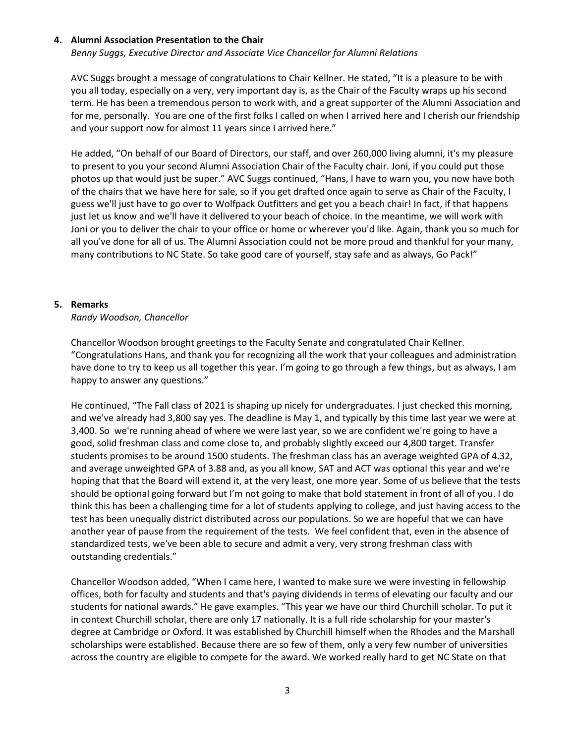#### **4. Alumni Association Presentation to the Chair**

*Benny Suggs, Executive Director and Associate Vice Chancellor for Alumni Relations*

AVC Suggs brought a message of congratulations to Chair Kellner. He stated, "It is a pleasure to be with you all today, especially on a very, very important day is, as the Chair of the Faculty wraps up his second term. He has been a tremendous person to work with, and a great supporter of the Alumni Association and for me, personally. You are one of the first folks I called on when I arrived here and I cherish our friendship and your support now for almost 11 years since I arrived here."

He added, "On behalf of our Board of Directors, our staff, and over 260,000 living alumni, it's my pleasure to present to you your second Alumni Association Chair of the Faculty chair. Joni, if you could put those photos up that would just be super." AVC Suggs continued, "Hans, I have to warn you, you now have both of the chairs that we have here for sale, so if you get drafted once again to serve as Chair of the Faculty, I guess we'll just have to go over to Wolfpack Outfitters and get you a beach chair! In fact, if that happens just let us know and we'll have it delivered to your beach of choice. In the meantime, we will work with Joni or you to deliver the chair to your office or home or wherever you'd like. Again, thank you so much for all you've done for all of us. The Alumni Association could not be more proud and thankful for your many, many contributions to NC State. So take good care of yourself, stay safe and as always, Go Pack!"

#### **5. Remarks**

#### *Randy Woodson, Chancellor*

Chancellor Woodson brought greetings to the Faculty Senate and congratulated Chair Kellner. "Congratulations Hans, and thank you for recognizing all the work that your colleagues and administration have done to try to keep us all together this year. I'm going to go through a few things, but as always, I am happy to answer any questions."

He continued, "The Fall class of 2021 is shaping up nicely for undergraduates. I just checked this morning, and we've already had 3,800 say yes. The deadline is May 1, and typically by this time last year we were at 3,400. So we're running ahead of where we were last year, so we are confident we're going to have a good, solid freshman class and come close to, and probably slightly exceed our 4,800 target. Transfer students promises to be around 1500 students. The freshman class has an average weighted GPA of 4.32, and average unweighted GPA of 3.88 and, as you all know, SAT and ACT was optional this year and we're hoping that that the Board will extend it, at the very least, one more year. Some of us believe that the tests should be optional going forward but I'm not going to make that bold statement in front of all of you. I do think this has been a challenging time for a lot of students applying to college, and just having access to the test has been unequally district distributed across our populations. So we are hopeful that we can have another year of pause from the requirement of the tests. We feel confident that, even in the absence of standardized tests, we've been able to secure and admit a very, very strong freshman class with outstanding credentials."

Chancellor Woodson added, "When I came here, I wanted to make sure we were investing in fellowship offices, both for faculty and students and that's paying dividends in terms of elevating our faculty and our students for national awards." He gave examples. "This year we have our third Churchill scholar. To put it in context Churchill scholar, there are only 17 nationally. It is a full ride scholarship for your master's degree at Cambridge or Oxford. It was established by Churchill himself when the Rhodes and the Marshall scholarships were established. Because there are so few of them, only a very few number of universities across the country are eligible to compete for the award. We worked really hard to get NC State on that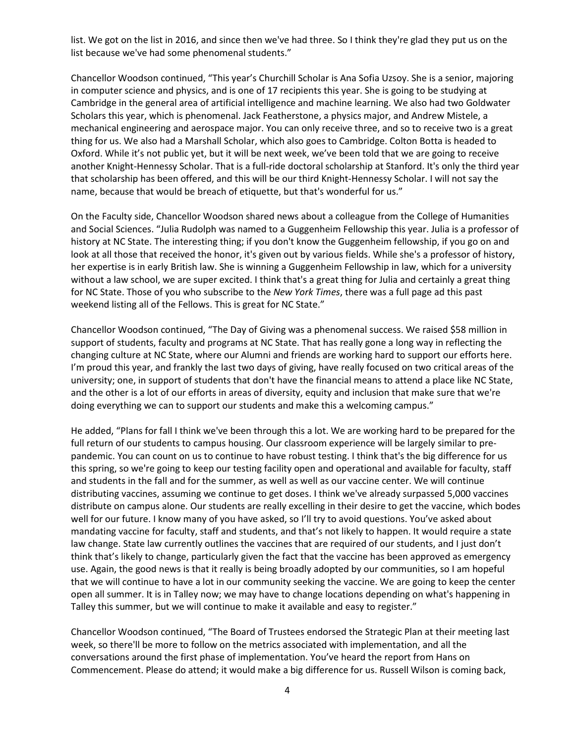list. We got on the list in 2016, and since then we've had three. So I think they're glad they put us on the list because we've had some phenomenal students."

Chancellor Woodson continued, "This year's Churchill Scholar is Ana Sofia Uzsoy. She is a senior, majoring in computer science and physics, and is one of 17 recipients this year. She is going to be studying at Cambridge in the general area of artificial intelligence and machine learning. We also had two Goldwater Scholars this year, which is phenomenal. Jack Featherstone, a physics major, and Andrew Mistele, a mechanical engineering and aerospace major. You can only receive three, and so to receive two is a great thing for us. We also had a Marshall Scholar, which also goes to Cambridge. Colton Botta is headed to Oxford. While it's not public yet, but it will be next week, we've been told that we are going to receive another Knight-Hennessy Scholar. That is a full-ride doctoral scholarship at Stanford. It's only the third year that scholarship has been offered, and this will be our third Knight-Hennessy Scholar. I will not say the name, because that would be breach of etiquette, but that's wonderful for us."

On the Faculty side, Chancellor Woodson shared news about a colleague from the College of Humanities and Social Sciences. "Julia Rudolph was named to a Guggenheim Fellowship this year. Julia is a professor of history at NC State. The interesting thing; if you don't know the Guggenheim fellowship, if you go on and look at all those that received the honor, it's given out by various fields. While she's a professor of history, her expertise is in early British law. She is winning a Guggenheim Fellowship in law, which for a university without a law school, we are super excited. I think that's a great thing for Julia and certainly a great thing for NC State. Those of you who subscribe to the *New York Times*, there was a full page ad this past weekend listing all of the Fellows. This is great for NC State."

Chancellor Woodson continued, "The Day of Giving was a phenomenal success. We raised \$58 million in support of students, faculty and programs at NC State. That has really gone a long way in reflecting the changing culture at NC State, where our Alumni and friends are working hard to support our efforts here. I'm proud this year, and frankly the last two days of giving, have really focused on two critical areas of the university; one, in support of students that don't have the financial means to attend a place like NC State, and the other is a lot of our efforts in areas of diversity, equity and inclusion that make sure that we're doing everything we can to support our students and make this a welcoming campus."

He added, "Plans for fall I think we've been through this a lot. We are working hard to be prepared for the full return of our students to campus housing. Our classroom experience will be largely similar to prepandemic. You can count on us to continue to have robust testing. I think that's the big difference for us this spring, so we're going to keep our testing facility open and operational and available for faculty, staff and students in the fall and for the summer, as well as well as our vaccine center. We will continue distributing vaccines, assuming we continue to get doses. I think we've already surpassed 5,000 vaccines distribute on campus alone. Our students are really excelling in their desire to get the vaccine, which bodes well for our future. I know many of you have asked, so I'll try to avoid questions. You've asked about mandating vaccine for faculty, staff and students, and that's not likely to happen. It would require a state law change. State law currently outlines the vaccines that are required of our students, and I just don't think that's likely to change, particularly given the fact that the vaccine has been approved as emergency use. Again, the good news is that it really is being broadly adopted by our communities, so I am hopeful that we will continue to have a lot in our community seeking the vaccine. We are going to keep the center open all summer. It is in Talley now; we may have to change locations depending on what's happening in Talley this summer, but we will continue to make it available and easy to register."

Chancellor Woodson continued, "The Board of Trustees endorsed the Strategic Plan at their meeting last week, so there'll be more to follow on the metrics associated with implementation, and all the conversations around the first phase of implementation. You've heard the report from Hans on Commencement. Please do attend; it would make a big difference for us. Russell Wilson is coming back,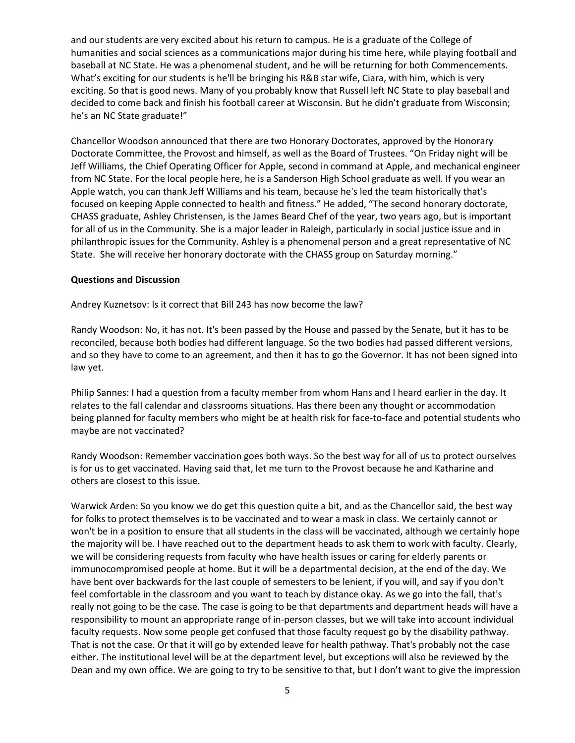and our students are very excited about his return to campus. He is a graduate of the College of humanities and social sciences as a communications major during his time here, while playing football and baseball at NC State. He was a phenomenal student, and he will be returning for both Commencements. What's exciting for our students is he'll be bringing his R&B star wife, Ciara, with him, which is very exciting. So that is good news. Many of you probably know that Russell left NC State to play baseball and decided to come back and finish his football career at Wisconsin. But he didn't graduate from Wisconsin; he's an NC State graduate!"

Chancellor Woodson announced that there are two Honorary Doctorates, approved by the Honorary Doctorate Committee, the Provost and himself, as well as the Board of Trustees. "On Friday night will be Jeff Williams, the Chief Operating Officer for Apple, second in command at Apple, and mechanical engineer from NC State. For the local people here, he is a Sanderson High School graduate as well. If you wear an Apple watch, you can thank Jeff Williams and his team, because he's led the team historically that's focused on keeping Apple connected to health and fitness." He added, "The second honorary doctorate, CHASS graduate, Ashley Christensen, is the James Beard Chef of the year, two years ago, but is important for all of us in the Community. She is a major leader in Raleigh, particularly in social justice issue and in philanthropic issues for the Community. Ashley is a phenomenal person and a great representative of NC State. She will receive her honorary doctorate with the CHASS group on Saturday morning."

#### **Questions and Discussion**

Andrey Kuznetsov: Is it correct that Bill 243 has now become the law?

Randy Woodson: No, it has not. It's been passed by the House and passed by the Senate, but it has to be reconciled, because both bodies had different language. So the two bodies had passed different versions, and so they have to come to an agreement, and then it has to go the Governor. It has not been signed into law yet.

Philip Sannes: I had a question from a faculty member from whom Hans and I heard earlier in the day. It relates to the fall calendar and classrooms situations. Has there been any thought or accommodation being planned for faculty members who might be at health risk for face-to-face and potential students who maybe are not vaccinated?

Randy Woodson: Remember vaccination goes both ways. So the best way for all of us to protect ourselves is for us to get vaccinated. Having said that, let me turn to the Provost because he and Katharine and others are closest to this issue.

Warwick Arden: So you know we do get this question quite a bit, and as the Chancellor said, the best way for folks to protect themselves is to be vaccinated and to wear a mask in class. We certainly cannot or won't be in a position to ensure that all students in the class will be vaccinated, although we certainly hope the majority will be. I have reached out to the department heads to ask them to work with faculty. Clearly, we will be considering requests from faculty who have health issues or caring for elderly parents or immunocompromised people at home. But it will be a departmental decision, at the end of the day. We have bent over backwards for the last couple of semesters to be lenient, if you will, and say if you don't feel comfortable in the classroom and you want to teach by distance okay. As we go into the fall, that's really not going to be the case. The case is going to be that departments and department heads will have a responsibility to mount an appropriate range of in-person classes, but we will take into account individual faculty requests. Now some people get confused that those faculty request go by the disability pathway. That is not the case. Or that it will go by extended leave for health pathway. That's probably not the case either. The institutional level will be at the department level, but exceptions will also be reviewed by the Dean and my own office. We are going to try to be sensitive to that, but I don't want to give the impression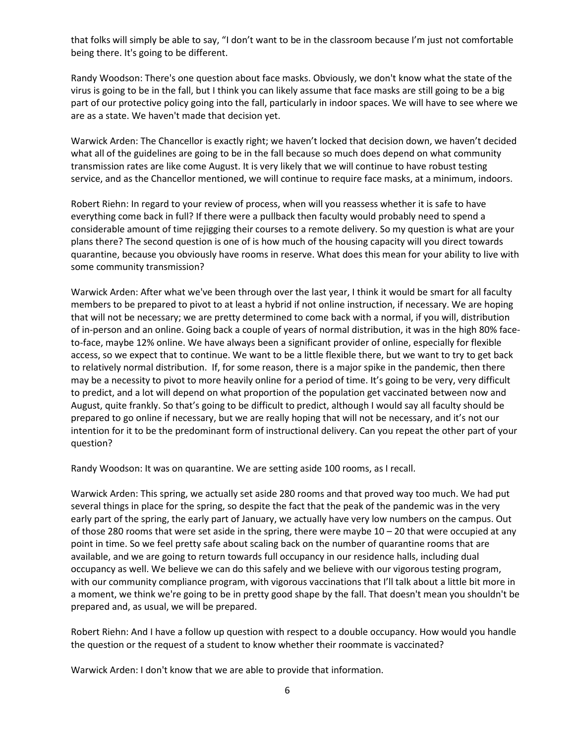that folks will simply be able to say, "I don't want to be in the classroom because I'm just not comfortable being there. It's going to be different.

Randy Woodson: There's one question about face masks. Obviously, we don't know what the state of the virus is going to be in the fall, but I think you can likely assume that face masks are still going to be a big part of our protective policy going into the fall, particularly in indoor spaces. We will have to see where we are as a state. We haven't made that decision yet.

Warwick Arden: The Chancellor is exactly right; we haven't locked that decision down, we haven't decided what all of the guidelines are going to be in the fall because so much does depend on what community transmission rates are like come August. It is very likely that we will continue to have robust testing service, and as the Chancellor mentioned, we will continue to require face masks, at a minimum, indoors.

Robert Riehn: In regard to your review of process, when will you reassess whether it is safe to have everything come back in full? If there were a pullback then faculty would probably need to spend a considerable amount of time rejigging their courses to a remote delivery. So my question is what are your plans there? The second question is one of is how much of the housing capacity will you direct towards quarantine, because you obviously have rooms in reserve. What does this mean for your ability to live with some community transmission?

Warwick Arden: After what we've been through over the last year, I think it would be smart for all faculty members to be prepared to pivot to at least a hybrid if not online instruction, if necessary. We are hoping that will not be necessary; we are pretty determined to come back with a normal, if you will, distribution of in-person and an online. Going back a couple of years of normal distribution, it was in the high 80% faceto-face, maybe 12% online. We have always been a significant provider of online, especially for flexible access, so we expect that to continue. We want to be a little flexible there, but we want to try to get back to relatively normal distribution. If, for some reason, there is a major spike in the pandemic, then there may be a necessity to pivot to more heavily online for a period of time. It's going to be very, very difficult to predict, and a lot will depend on what proportion of the population get vaccinated between now and August, quite frankly. So that's going to be difficult to predict, although I would say all faculty should be prepared to go online if necessary, but we are really hoping that will not be necessary, and it's not our intention for it to be the predominant form of instructional delivery. Can you repeat the other part of your question?

Randy Woodson: It was on quarantine. We are setting aside 100 rooms, as I recall.

Warwick Arden: This spring, we actually set aside 280 rooms and that proved way too much. We had put several things in place for the spring, so despite the fact that the peak of the pandemic was in the very early part of the spring, the early part of January, we actually have very low numbers on the campus. Out of those 280 rooms that were set aside in the spring, there were maybe  $10 - 20$  that were occupied at any point in time. So we feel pretty safe about scaling back on the number of quarantine rooms that are available, and we are going to return towards full occupancy in our residence halls, including dual occupancy as well. We believe we can do this safely and we believe with our vigorous testing program, with our community compliance program, with vigorous vaccinations that I'll talk about a little bit more in a moment, we think we're going to be in pretty good shape by the fall. That doesn't mean you shouldn't be prepared and, as usual, we will be prepared.

Robert Riehn: And I have a follow up question with respect to a double occupancy. How would you handle the question or the request of a student to know whether their roommate is vaccinated?

Warwick Arden: I don't know that we are able to provide that information.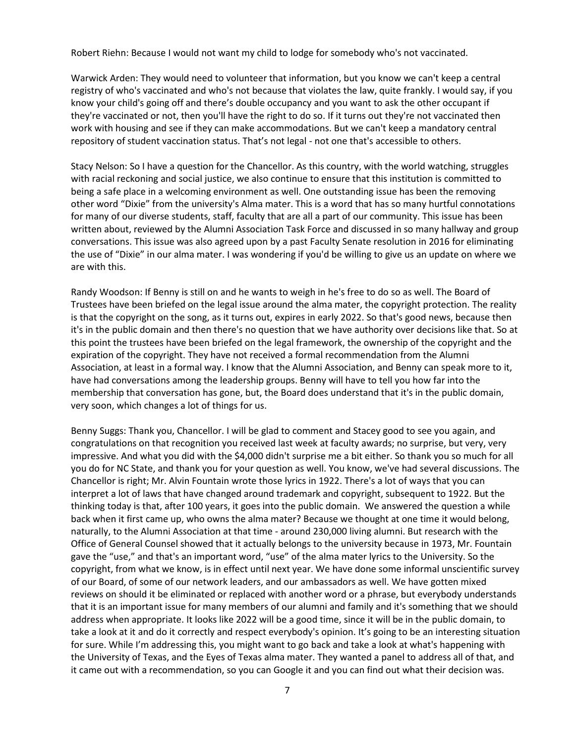Robert Riehn: Because I would not want my child to lodge for somebody who's not vaccinated.

Warwick Arden: They would need to volunteer that information, but you know we can't keep a central registry of who's vaccinated and who's not because that violates the law, quite frankly. I would say, if you know your child's going off and there's double occupancy and you want to ask the other occupant if they're vaccinated or not, then you'll have the right to do so. If it turns out they're not vaccinated then work with housing and see if they can make accommodations. But we can't keep a mandatory central repository of student vaccination status. That's not legal - not one that's accessible to others.

Stacy Nelson: So I have a question for the Chancellor. As this country, with the world watching, struggles with racial reckoning and social justice, we also continue to ensure that this institution is committed to being a safe place in a welcoming environment as well. One outstanding issue has been the removing other word "Dixie" from the university's Alma mater. This is a word that has so many hurtful connotations for many of our diverse students, staff, faculty that are all a part of our community. This issue has been written about, reviewed by the Alumni Association Task Force and discussed in so many hallway and group conversations. This issue was also agreed upon by a past Faculty Senate resolution in 2016 for eliminating the use of "Dixie" in our alma mater. I was wondering if you'd be willing to give us an update on where we are with this.

Randy Woodson: If Benny is still on and he wants to weigh in he's free to do so as well. The Board of Trustees have been briefed on the legal issue around the alma mater, the copyright protection. The reality is that the copyright on the song, as it turns out, expires in early 2022. So that's good news, because then it's in the public domain and then there's no question that we have authority over decisions like that. So at this point the trustees have been briefed on the legal framework, the ownership of the copyright and the expiration of the copyright. They have not received a formal recommendation from the Alumni Association, at least in a formal way. I know that the Alumni Association, and Benny can speak more to it, have had conversations among the leadership groups. Benny will have to tell you how far into the membership that conversation has gone, but, the Board does understand that it's in the public domain, very soon, which changes a lot of things for us.

Benny Suggs: Thank you, Chancellor. I will be glad to comment and Stacey good to see you again, and congratulations on that recognition you received last week at faculty awards; no surprise, but very, very impressive. And what you did with the \$4,000 didn't surprise me a bit either. So thank you so much for all you do for NC State, and thank you for your question as well. You know, we've had several discussions. The Chancellor is right; Mr. Alvin Fountain wrote those lyrics in 1922. There's a lot of ways that you can interpret a lot of laws that have changed around trademark and copyright, subsequent to 1922. But the thinking today is that, after 100 years, it goes into the public domain. We answered the question a while back when it first came up, who owns the alma mater? Because we thought at one time it would belong, naturally, to the Alumni Association at that time - around 230,000 living alumni. But research with the Office of General Counsel showed that it actually belongs to the university because in 1973, Mr. Fountain gave the "use," and that's an important word, "use" of the alma mater lyrics to the University. So the copyright, from what we know, is in effect until next year. We have done some informal unscientific survey of our Board, of some of our network leaders, and our ambassadors as well. We have gotten mixed reviews on should it be eliminated or replaced with another word or a phrase, but everybody understands that it is an important issue for many members of our alumni and family and it's something that we should address when appropriate. It looks like 2022 will be a good time, since it will be in the public domain, to take a look at it and do it correctly and respect everybody's opinion. It's going to be an interesting situation for sure. While I'm addressing this, you might want to go back and take a look at what's happening with the University of Texas, and the Eyes of Texas alma mater. They wanted a panel to address all of that, and it came out with a recommendation, so you can Google it and you can find out what their decision was.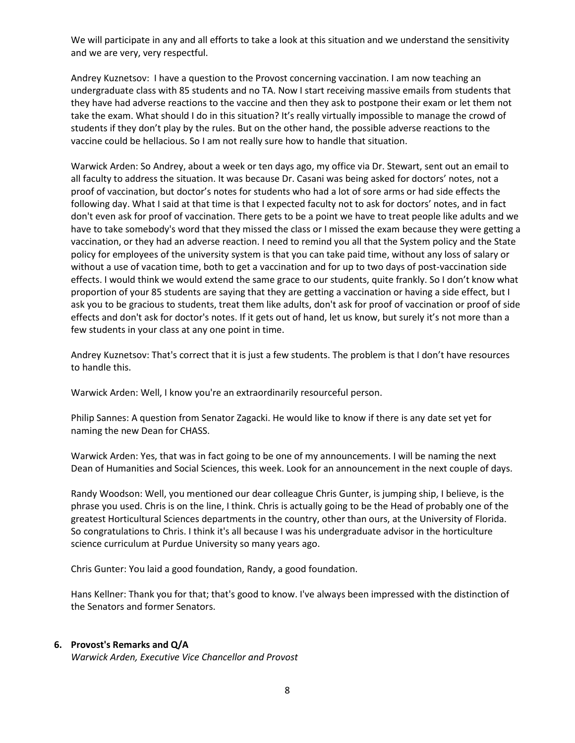We will participate in any and all efforts to take a look at this situation and we understand the sensitivity and we are very, very respectful.

Andrey Kuznetsov: I have a question to the Provost concerning vaccination. I am now teaching an undergraduate class with 85 students and no TA. Now I start receiving massive emails from students that they have had adverse reactions to the vaccine and then they ask to postpone their exam or let them not take the exam. What should I do in this situation? It's really virtually impossible to manage the crowd of students if they don't play by the rules. But on the other hand, the possible adverse reactions to the vaccine could be hellacious. So I am not really sure how to handle that situation.

Warwick Arden: So Andrey, about a week or ten days ago, my office via Dr. Stewart, sent out an email to all faculty to address the situation. It was because Dr. Casani was being asked for doctors' notes, not a proof of vaccination, but doctor's notes for students who had a lot of sore arms or had side effects the following day. What I said at that time is that I expected faculty not to ask for doctors' notes, and in fact don't even ask for proof of vaccination. There gets to be a point we have to treat people like adults and we have to take somebody's word that they missed the class or I missed the exam because they were getting a vaccination, or they had an adverse reaction. I need to remind you all that the System policy and the State policy for employees of the university system is that you can take paid time, without any loss of salary or without a use of vacation time, both to get a vaccination and for up to two days of post-vaccination side effects. I would think we would extend the same grace to our students, quite frankly. So I don't know what proportion of your 85 students are saying that they are getting a vaccination or having a side effect, but I ask you to be gracious to students, treat them like adults, don't ask for proof of vaccination or proof of side effects and don't ask for doctor's notes. If it gets out of hand, let us know, but surely it's not more than a few students in your class at any one point in time.

Andrey Kuznetsov: That's correct that it is just a few students. The problem is that I don't have resources to handle this.

Warwick Arden: Well, I know you're an extraordinarily resourceful person.

Philip Sannes: A question from Senator Zagacki. He would like to know if there is any date set yet for naming the new Dean for CHASS.

Warwick Arden: Yes, that was in fact going to be one of my announcements. I will be naming the next Dean of Humanities and Social Sciences, this week. Look for an announcement in the next couple of days.

Randy Woodson: Well, you mentioned our dear colleague Chris Gunter, is jumping ship, I believe, is the phrase you used. Chris is on the line, I think. Chris is actually going to be the Head of probably one of the greatest Horticultural Sciences departments in the country, other than ours, at the University of Florida. So congratulations to Chris. I think it's all because I was his undergraduate advisor in the horticulture science curriculum at Purdue University so many years ago.

Chris Gunter: You laid a good foundation, Randy, a good foundation.

Hans Kellner: Thank you for that; that's good to know. I've always been impressed with the distinction of the Senators and former Senators.

#### **6. Provost's Remarks and Q/A**

*Warwick Arden, Executive Vice Chancellor and Provost*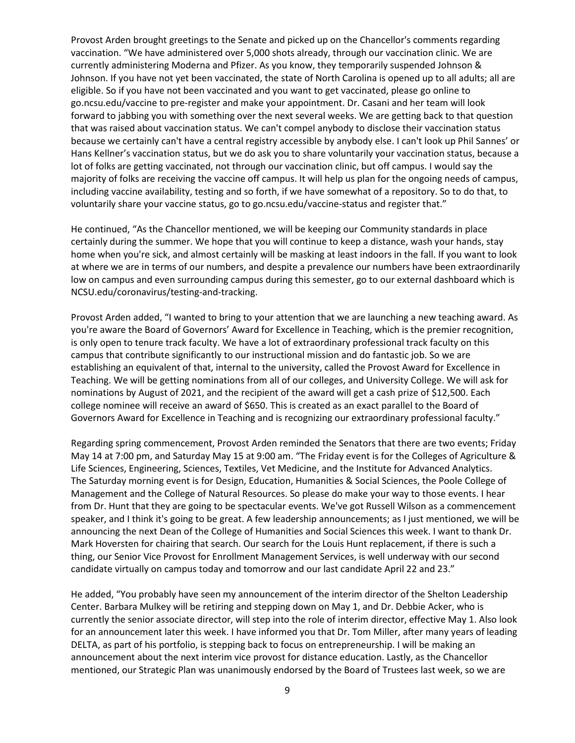Provost Arden brought greetings to the Senate and picked up on the Chancellor's comments regarding vaccination. "We have administered over 5,000 shots already, through our vaccination clinic. We are currently administering Moderna and Pfizer. As you know, they temporarily suspended Johnson & Johnson. If you have not yet been vaccinated, the state of North Carolina is opened up to all adults; all are eligible. So if you have not been vaccinated and you want to get vaccinated, please go online to go.ncsu.edu/vaccine to pre-register and make your appointment. Dr. Casani and her team will look forward to jabbing you with something over the next several weeks. We are getting back to that question that was raised about vaccination status. We can't compel anybody to disclose their vaccination status because we certainly can't have a central registry accessible by anybody else. I can't look up Phil Sannes' or Hans Kellner's vaccination status, but we do ask you to share voluntarily your vaccination status, because a lot of folks are getting vaccinated, not through our vaccination clinic, but off campus. I would say the majority of folks are receiving the vaccine off campus. It will help us plan for the ongoing needs of campus, including vaccine availability, testing and so forth, if we have somewhat of a repository. So to do that, to voluntarily share your vaccine status, go to go.ncsu.edu/vaccine-status and register that."

He continued, "As the Chancellor mentioned, we will be keeping our Community standards in place certainly during the summer. We hope that you will continue to keep a distance, wash your hands, stay home when you're sick, and almost certainly will be masking at least indoors in the fall. If you want to look at where we are in terms of our numbers, and despite a prevalence our numbers have been extraordinarily low on campus and even surrounding campus during this semester, go to our external dashboard which is NCSU.edu/coronavirus/testing-and-tracking.

Provost Arden added, "I wanted to bring to your attention that we are launching a new teaching award. As you're aware the Board of Governors' Award for Excellence in Teaching, which is the premier recognition, is only open to tenure track faculty. We have a lot of extraordinary professional track faculty on this campus that contribute significantly to our instructional mission and do fantastic job. So we are establishing an equivalent of that, internal to the university, called the Provost Award for Excellence in Teaching. We will be getting nominations from all of our colleges, and University College. We will ask for nominations by August of 2021, and the recipient of the award will get a cash prize of \$12,500. Each college nominee will receive an award of \$650. This is created as an exact parallel to the Board of Governors Award for Excellence in Teaching and is recognizing our extraordinary professional faculty."

Regarding spring commencement, Provost Arden reminded the Senators that there are two events; Friday May 14 at 7:00 pm, and Saturday May 15 at 9:00 am. "The Friday event is for the Colleges of Agriculture & Life Sciences, Engineering, Sciences, Textiles, Vet Medicine, and the Institute for Advanced Analytics. The Saturday morning event is for Design, Education, Humanities & Social Sciences, the Poole College of Management and the College of Natural Resources. So please do make your way to those events. I hear from Dr. Hunt that they are going to be spectacular events. We've got Russell Wilson as a commencement speaker, and I think it's going to be great. A few leadership announcements; as I just mentioned, we will be announcing the next Dean of the College of Humanities and Social Sciences this week. I want to thank Dr. Mark Hoversten for chairing that search. Our search for the Louis Hunt replacement, if there is such a thing, our Senior Vice Provost for Enrollment Management Services, is well underway with our second candidate virtually on campus today and tomorrow and our last candidate April 22 and 23."

He added, "You probably have seen my announcement of the interim director of the Shelton Leadership Center. Barbara Mulkey will be retiring and stepping down on May 1, and Dr. Debbie Acker, who is currently the senior associate director, will step into the role of interim director, effective May 1. Also look for an announcement later this week. I have informed you that Dr. Tom Miller, after many years of leading DELTA, as part of his portfolio, is stepping back to focus on entrepreneurship. I will be making an announcement about the next interim vice provost for distance education. Lastly, as the Chancellor mentioned, our Strategic Plan was unanimously endorsed by the Board of Trustees last week, so we are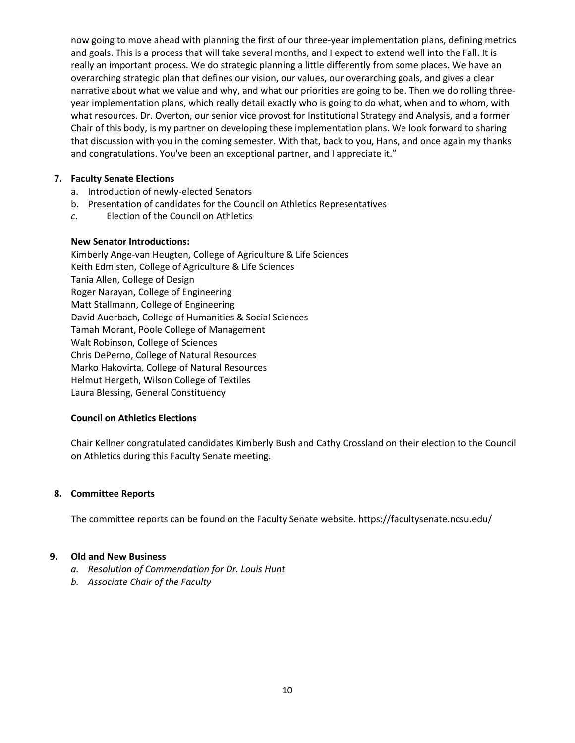now going to move ahead with planning the first of our three-year implementation plans, defining metrics and goals. This is a process that will take several months, and I expect to extend well into the Fall. It is really an important process. We do strategic planning a little differently from some places. We have an overarching strategic plan that defines our vision, our values, our overarching goals, and gives a clear narrative about what we value and why, and what our priorities are going to be. Then we do rolling threeyear implementation plans, which really detail exactly who is going to do what, when and to whom, with what resources. Dr. Overton, our senior vice provost for Institutional Strategy and Analysis, and a former Chair of this body, is my partner on developing these implementation plans. We look forward to sharing that discussion with you in the coming semester. With that, back to you, Hans, and once again my thanks and congratulations. You've been an exceptional partner, and I appreciate it."

#### **7. Faculty Senate Elections**

- a. Introduction of newly-elected Senators
- b. Presentation of candidates for the Council on Athletics Representatives
- *c*. Election of the Council on Athletics

#### **New Senator Introductions:**

Kimberly Ange-van Heugten, College of Agriculture & Life Sciences Keith Edmisten, College of Agriculture & Life Sciences Tania Allen, College of Design Roger Narayan, College of Engineering Matt Stallmann, College of Engineering David Auerbach, College of Humanities & Social Sciences Tamah Morant, Poole College of Management Walt Robinson, College of Sciences Chris DePerno, College of Natural Resources Marko Hakovirta, College of Natural Resources Helmut Hergeth, Wilson College of Textiles Laura Blessing, General Constituency

## **Council on Athletics Elections**

Chair Kellner congratulated candidates Kimberly Bush and Cathy Crossland on their election to the Council on Athletics during this Faculty Senate meeting.

#### **8. Committee Reports**

The committee reports can be found on the Faculty Senate website. https://facultysenate.ncsu.edu/

#### **9. Old and New Business**

- *a. Resolution of Commendation for Dr. Louis Hunt*
- *b. Associate Chair of the Faculty*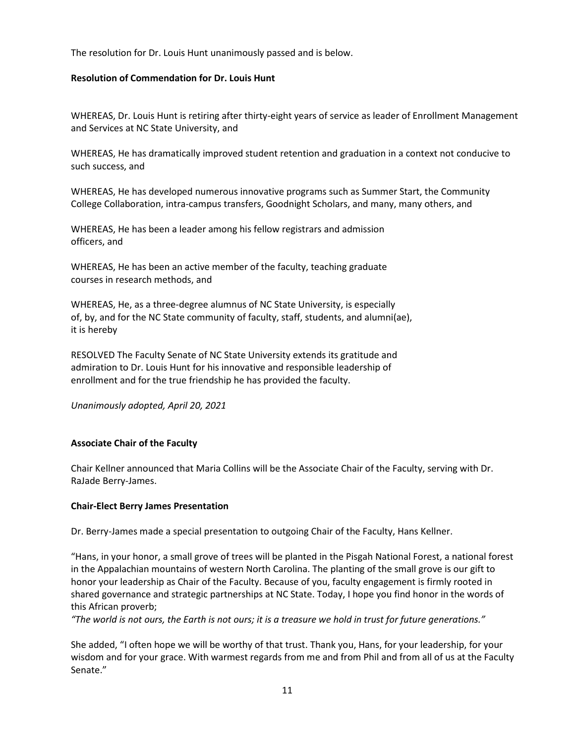The resolution for Dr. Louis Hunt unanimously passed and is below.

#### **Resolution of Commendation for Dr. Louis Hunt**

WHEREAS, Dr. Louis Hunt is retiring after thirty-eight years of service as leader of Enrollment Management and Services at NC State University, and

WHEREAS, He has dramatically improved student retention and graduation in a context not conducive to such success, and

WHEREAS, He has developed numerous innovative programs such as Summer Start, the Community College Collaboration, intra-campus transfers, Goodnight Scholars, and many, many others, and

WHEREAS, He has been a leader among his fellow registrars and admission officers, and

WHEREAS, He has been an active member of the faculty, teaching graduate courses in research methods, and

WHEREAS, He, as a three-degree alumnus of NC State University, is especially of, by, and for the NC State community of faculty, staff, students, and alumni(ae), it is hereby

RESOLVED The Faculty Senate of NC State University extends its gratitude and admiration to Dr. Louis Hunt for his innovative and responsible leadership of enrollment and for the true friendship he has provided the faculty.

*Unanimously adopted, April 20, 2021*

#### **Associate Chair of the Faculty**

Chair Kellner announced that Maria Collins will be the Associate Chair of the Faculty, serving with Dr. RaJade Berry-James.

#### **Chair-Elect Berry James Presentation**

Dr. Berry-James made a special presentation to outgoing Chair of the Faculty, Hans Kellner.

"Hans, in your honor, a small grove of trees will be planted in the Pisgah National Forest, a national forest in the Appalachian mountains of western North Carolina. The planting of the small grove is our gift to honor your leadership as Chair of the Faculty. Because of you, faculty engagement is firmly rooted in shared governance and strategic partnerships at NC State. Today, I hope you find honor in the words of this African proverb;

*"The world is not ours, the Earth is not ours; it is a treasure we hold in trust for future generations."*

She added, "I often hope we will be worthy of that trust. Thank you, Hans, for your leadership, for your wisdom and for your grace. With warmest regards from me and from Phil and from all of us at the Faculty Senate."